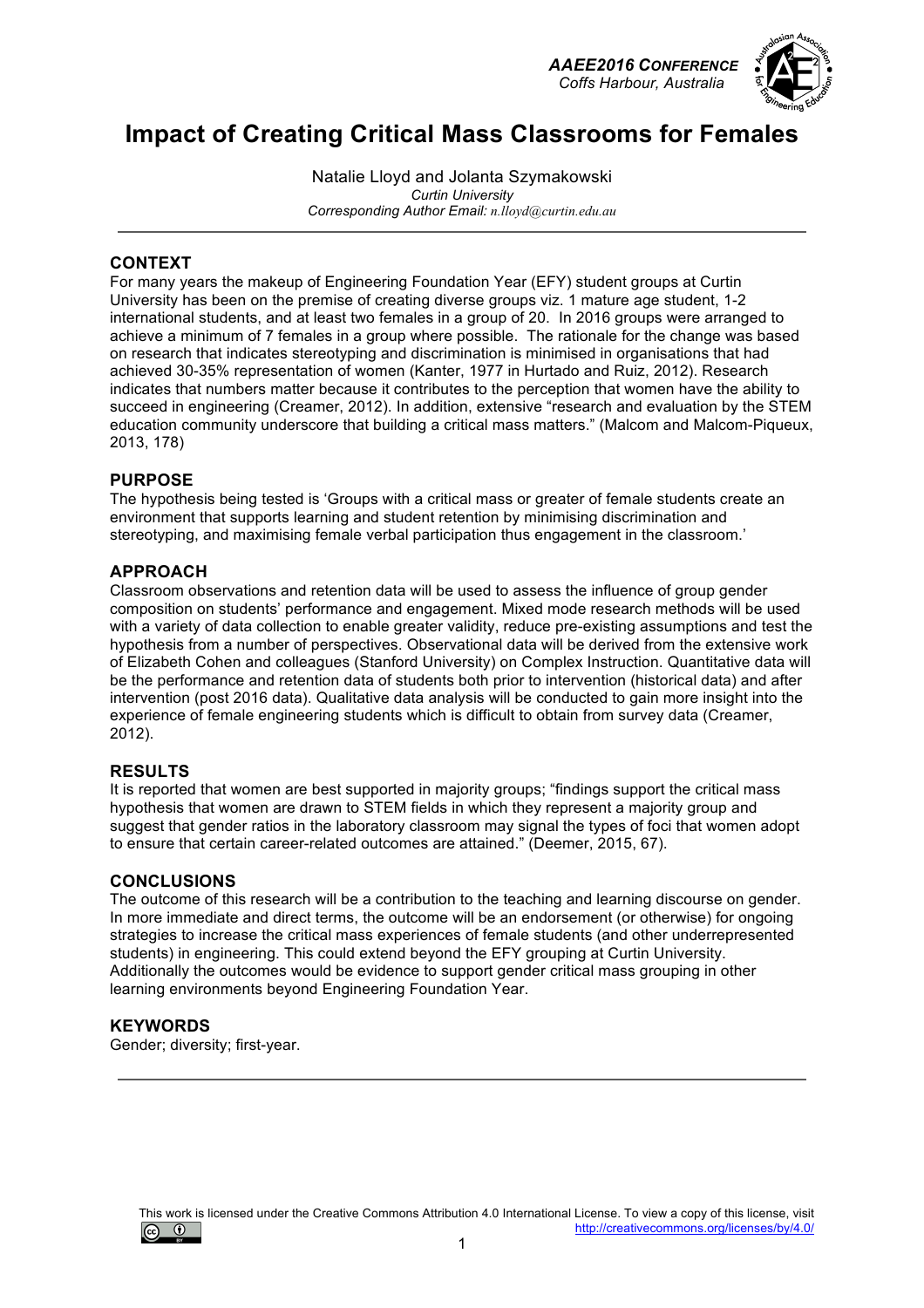*AAEE2016 CONFERENCE Coffs Harbour, Australia*



## **Impact of Creating Critical Mass Classrooms for Females**

Natalie Lloyd and Jolanta Szymakowski *Curtin University Corresponding Author Email: n.lloyd@curtin.edu.au*

### **CONTEXT**

For many years the makeup of Engineering Foundation Year (EFY) student groups at Curtin University has been on the premise of creating diverse groups viz. 1 mature age student, 1-2 international students, and at least two females in a group of 20. In 2016 groups were arranged to achieve a minimum of 7 females in a group where possible. The rationale for the change was based on research that indicates stereotyping and discrimination is minimised in organisations that had achieved 30-35% representation of women (Kanter, 1977 in Hurtado and Ruiz, 2012). Research indicates that numbers matter because it contributes to the perception that women have the ability to succeed in engineering (Creamer, 2012). In addition, extensive "research and evaluation by the STEM education community underscore that building a critical mass matters." (Malcom and Malcom-Piqueux, 2013, 178)

#### **PURPOSE**

The hypothesis being tested is 'Groups with a critical mass or greater of female students create an environment that supports learning and student retention by minimising discrimination and stereotyping, and maximising female verbal participation thus engagement in the classroom.'

#### **APPROACH**

Classroom observations and retention data will be used to assess the influence of group gender composition on students' performance and engagement. Mixed mode research methods will be used with a variety of data collection to enable greater validity, reduce pre-existing assumptions and test the hypothesis from a number of perspectives. Observational data will be derived from the extensive work of Elizabeth Cohen and colleagues (Stanford University) on Complex Instruction. Quantitative data will be the performance and retention data of students both prior to intervention (historical data) and after intervention (post 2016 data). Qualitative data analysis will be conducted to gain more insight into the experience of female engineering students which is difficult to obtain from survey data (Creamer, 2012).

#### **RESULTS**

It is reported that women are best supported in majority groups; "findings support the critical mass hypothesis that women are drawn to STEM fields in which they represent a majority group and suggest that gender ratios in the laboratory classroom may signal the types of foci that women adopt to ensure that certain career-related outcomes are attained." (Deemer, 2015, 67).

#### **CONCLUSIONS**

The outcome of this research will be a contribution to the teaching and learning discourse on gender. In more immediate and direct terms, the outcome will be an endorsement (or otherwise) for ongoing strategies to increase the critical mass experiences of female students (and other underrepresented students) in engineering. This could extend beyond the EFY grouping at Curtin University. Additionally the outcomes would be evidence to support gender critical mass grouping in other learning environments beyond Engineering Foundation Year.

#### **KEYWORDS**

Gender; diversity; first-year.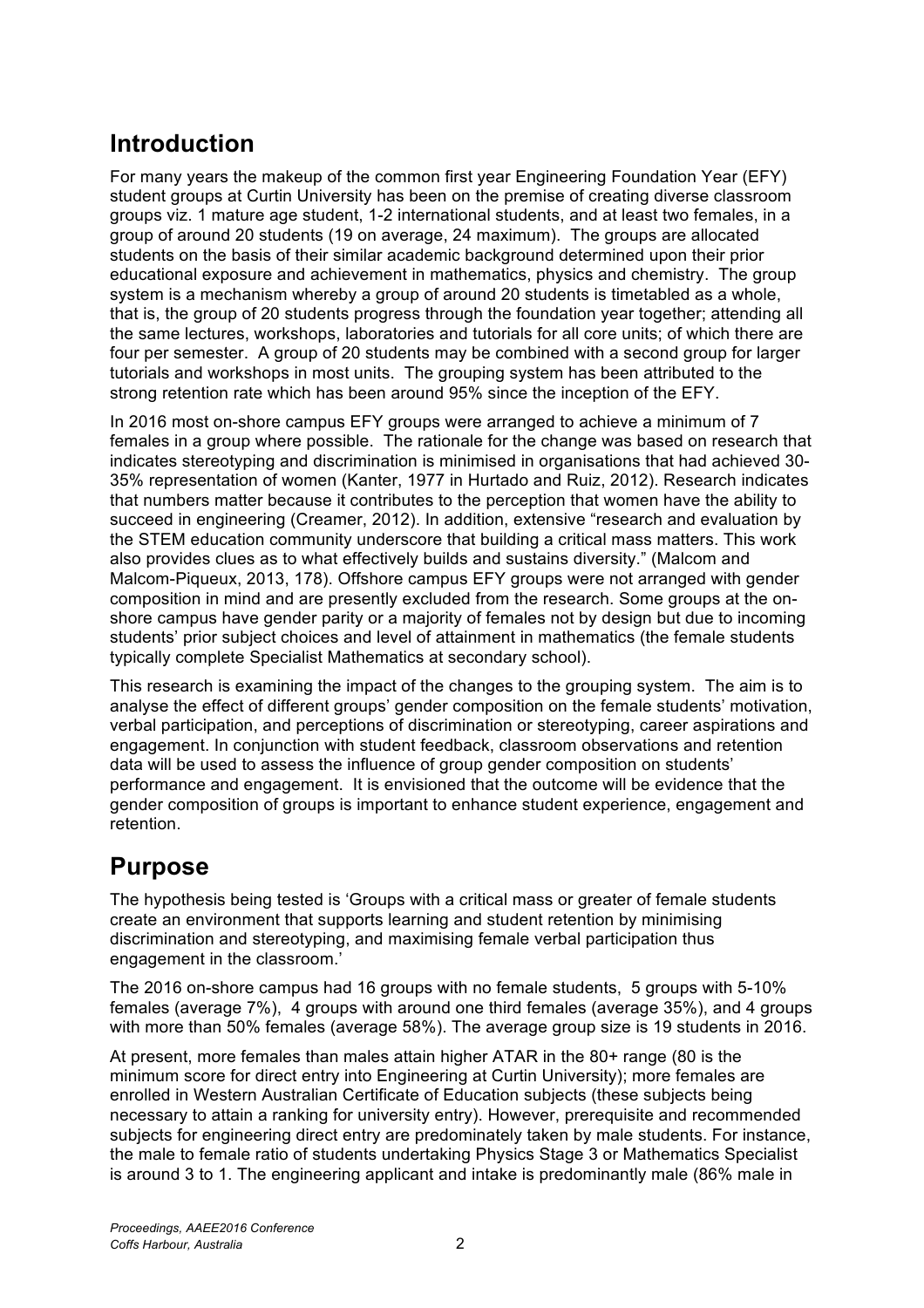# **Introduction**

For many years the makeup of the common first year Engineering Foundation Year (EFY) student groups at Curtin University has been on the premise of creating diverse classroom groups viz. 1 mature age student, 1-2 international students, and at least two females, in a group of around 20 students (19 on average, 24 maximum). The groups are allocated students on the basis of their similar academic background determined upon their prior educational exposure and achievement in mathematics, physics and chemistry. The group system is a mechanism whereby a group of around 20 students is timetabled as a whole, that is, the group of 20 students progress through the foundation year together; attending all the same lectures, workshops, laboratories and tutorials for all core units; of which there are four per semester. A group of 20 students may be combined with a second group for larger tutorials and workshops in most units. The grouping system has been attributed to the strong retention rate which has been around 95% since the inception of the EFY.

In 2016 most on-shore campus EFY groups were arranged to achieve a minimum of 7 females in a group where possible. The rationale for the change was based on research that indicates stereotyping and discrimination is minimised in organisations that had achieved 30- 35% representation of women (Kanter, 1977 in Hurtado and Ruiz, 2012). Research indicates that numbers matter because it contributes to the perception that women have the ability to succeed in engineering (Creamer, 2012). In addition, extensive "research and evaluation by the STEM education community underscore that building a critical mass matters. This work also provides clues as to what effectively builds and sustains diversity." (Malcom and Malcom-Piqueux, 2013, 178). Offshore campus EFY groups were not arranged with gender composition in mind and are presently excluded from the research. Some groups at the onshore campus have gender parity or a majority of females not by design but due to incoming students' prior subject choices and level of attainment in mathematics (the female students typically complete Specialist Mathematics at secondary school).

This research is examining the impact of the changes to the grouping system. The aim is to analyse the effect of different groups' gender composition on the female students' motivation, verbal participation, and perceptions of discrimination or stereotyping, career aspirations and engagement. In conjunction with student feedback, classroom observations and retention data will be used to assess the influence of group gender composition on students' performance and engagement. It is envisioned that the outcome will be evidence that the gender composition of groups is important to enhance student experience, engagement and retention.

# **Purpose**

The hypothesis being tested is 'Groups with a critical mass or greater of female students create an environment that supports learning and student retention by minimising discrimination and stereotyping, and maximising female verbal participation thus engagement in the classroom.'

The 2016 on-shore campus had 16 groups with no female students, 5 groups with 5-10% females (average 7%), 4 groups with around one third females (average 35%), and 4 groups with more than 50% females (average 58%). The average group size is 19 students in 2016.

At present, more females than males attain higher ATAR in the 80+ range (80 is the minimum score for direct entry into Engineering at Curtin University); more females are enrolled in Western Australian Certificate of Education subjects (these subjects being necessary to attain a ranking for university entry). However, prerequisite and recommended subjects for engineering direct entry are predominately taken by male students. For instance, the male to female ratio of students undertaking Physics Stage 3 or Mathematics Specialist is around 3 to 1. The engineering applicant and intake is predominantly male (86% male in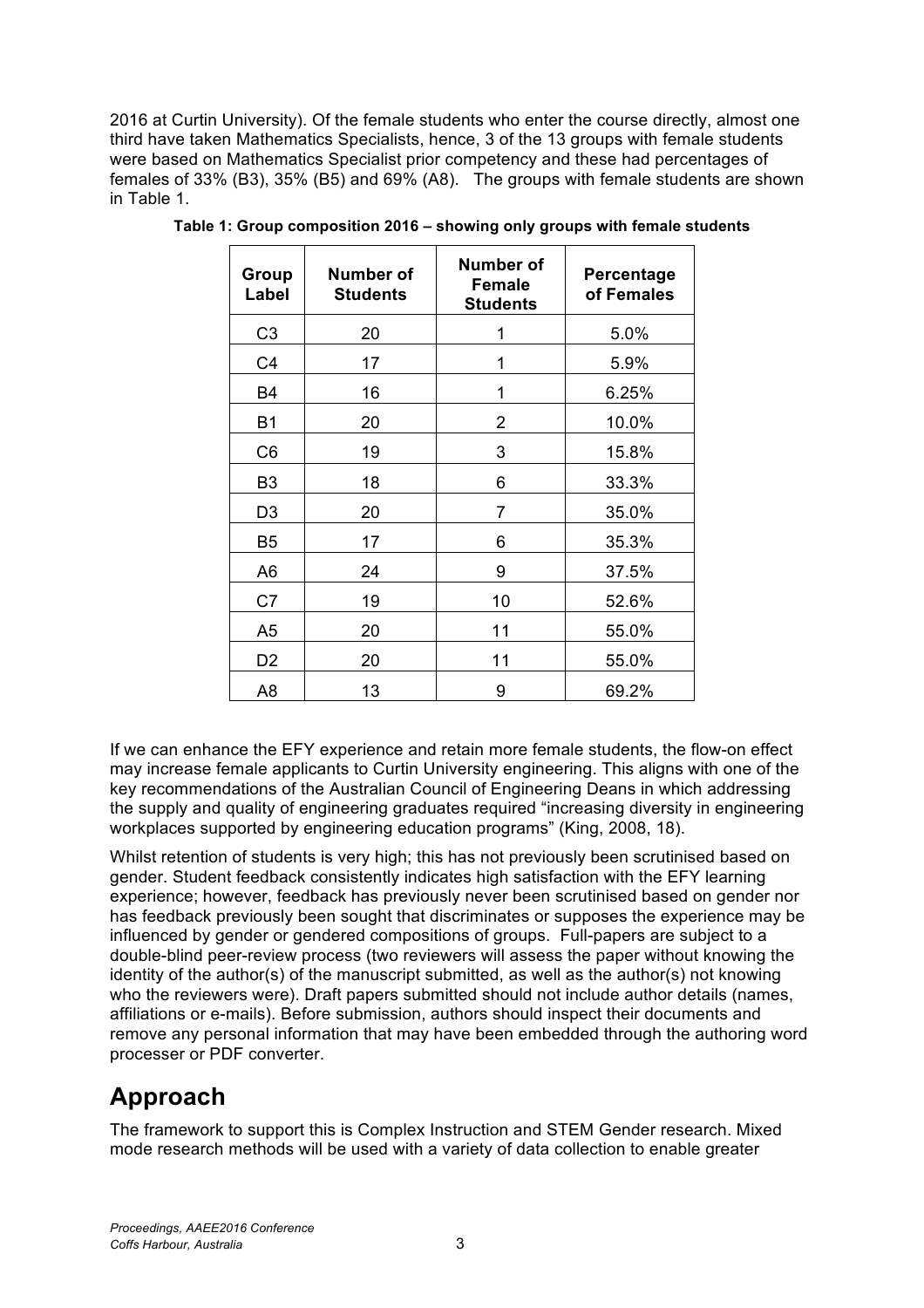2016 at Curtin University). Of the female students who enter the course directly, almost one third have taken Mathematics Specialists, hence, 3 of the 13 groups with female students were based on Mathematics Specialist prior competency and these had percentages of females of 33% (B3), 35% (B5) and 69% (A8). The groups with female students are shown in Table 1.

| Group<br>Label | Number of<br><b>Students</b> | Number of<br><b>Female</b><br><b>Students</b> | Percentage<br>of Females |
|----------------|------------------------------|-----------------------------------------------|--------------------------|
| C <sub>3</sub> | 20                           | 1                                             | 5.0%                     |
| C <sub>4</sub> | 17                           | 1                                             | 5.9%                     |
| <b>B4</b>      | 16                           | 1                                             | 6.25%                    |
| <b>B1</b>      | 20                           | $\overline{2}$                                | 10.0%                    |
| C <sub>6</sub> | 19                           | 3                                             | 15.8%                    |
| B <sub>3</sub> | 18                           | 6                                             | 33.3%                    |
| D <sub>3</sub> | 20                           | 7                                             | 35.0%                    |
| <b>B5</b>      | 17                           | 6                                             | 35.3%                    |
| A6             | 24                           | 9                                             | 37.5%                    |
| C7             | 19                           | 10                                            | 52.6%                    |
| A <sub>5</sub> | 20                           | 11                                            | 55.0%                    |
| D <sub>2</sub> | 20                           | 11                                            | 55.0%                    |
| A <sub>8</sub> | 13                           | 9                                             | 69.2%                    |

**Table 1: Group composition 2016 – showing only groups with female students**

If we can enhance the EFY experience and retain more female students, the flow-on effect may increase female applicants to Curtin University engineering. This aligns with one of the key recommendations of the Australian Council of Engineering Deans in which addressing the supply and quality of engineering graduates required "increasing diversity in engineering workplaces supported by engineering education programs" (King, 2008, 18).

Whilst retention of students is very high; this has not previously been scrutinised based on gender. Student feedback consistently indicates high satisfaction with the EFY learning experience; however, feedback has previously never been scrutinised based on gender nor has feedback previously been sought that discriminates or supposes the experience may be influenced by gender or gendered compositions of groups. Full-papers are subject to a double-blind peer-review process (two reviewers will assess the paper without knowing the identity of the author(s) of the manuscript submitted, as well as the author(s) not knowing who the reviewers were). Draft papers submitted should not include author details (names, affiliations or e-mails). Before submission, authors should inspect their documents and remove any personal information that may have been embedded through the authoring word processer or PDF converter.

# **Approach**

The framework to support this is Complex Instruction and STEM Gender research. Mixed mode research methods will be used with a variety of data collection to enable greater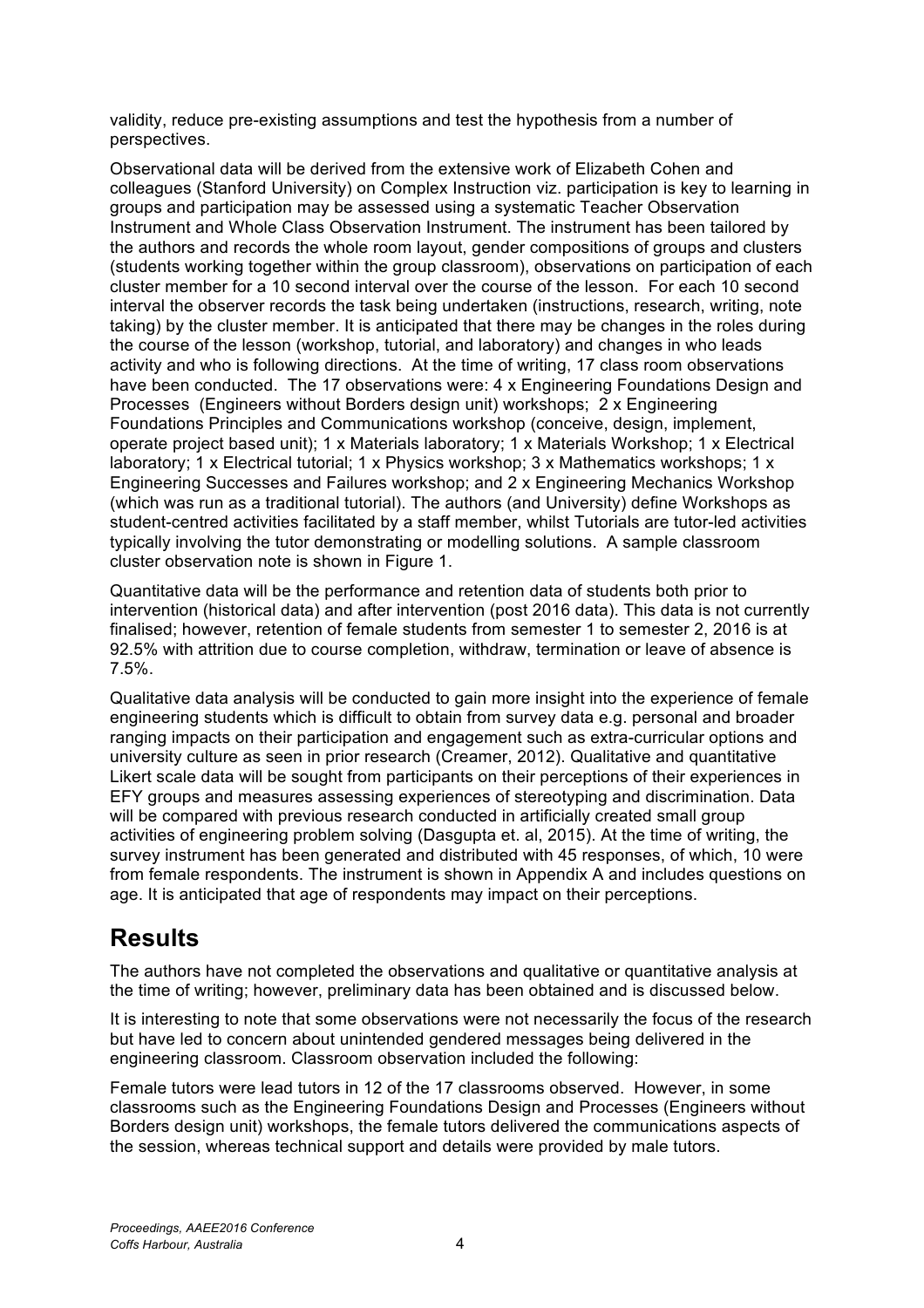validity, reduce pre-existing assumptions and test the hypothesis from a number of perspectives.

Observational data will be derived from the extensive work of Elizabeth Cohen and colleagues (Stanford University) on Complex Instruction viz. participation is key to learning in groups and participation may be assessed using a systematic Teacher Observation Instrument and Whole Class Observation Instrument. The instrument has been tailored by the authors and records the whole room layout, gender compositions of groups and clusters (students working together within the group classroom), observations on participation of each cluster member for a 10 second interval over the course of the lesson. For each 10 second interval the observer records the task being undertaken (instructions, research, writing, note taking) by the cluster member. It is anticipated that there may be changes in the roles during the course of the lesson (workshop, tutorial, and laboratory) and changes in who leads activity and who is following directions. At the time of writing, 17 class room observations have been conducted. The 17 observations were: 4 x Engineering Foundations Design and Processes (Engineers without Borders design unit) workshops; 2 x Engineering Foundations Principles and Communications workshop (conceive, design, implement, operate project based unit); 1 x Materials laboratory; 1 x Materials Workshop; 1 x Electrical laboratory; 1 x Electrical tutorial; 1 x Physics workshop; 3 x Mathematics workshops; 1 x Engineering Successes and Failures workshop; and 2 x Engineering Mechanics Workshop (which was run as a traditional tutorial). The authors (and University) define Workshops as student-centred activities facilitated by a staff member, whilst Tutorials are tutor-led activities typically involving the tutor demonstrating or modelling solutions. A sample classroom cluster observation note is shown in Figure 1.

Quantitative data will be the performance and retention data of students both prior to intervention (historical data) and after intervention (post 2016 data). This data is not currently finalised; however, retention of female students from semester 1 to semester 2, 2016 is at 92.5% with attrition due to course completion, withdraw, termination or leave of absence is 7.5%.

Qualitative data analysis will be conducted to gain more insight into the experience of female engineering students which is difficult to obtain from survey data e.g. personal and broader ranging impacts on their participation and engagement such as extra-curricular options and university culture as seen in prior research (Creamer, 2012). Qualitative and quantitative Likert scale data will be sought from participants on their perceptions of their experiences in EFY groups and measures assessing experiences of stereotyping and discrimination. Data will be compared with previous research conducted in artificially created small group activities of engineering problem solving (Dasgupta et. al, 2015). At the time of writing, the survey instrument has been generated and distributed with 45 responses, of which, 10 were from female respondents. The instrument is shown in Appendix A and includes questions on age. It is anticipated that age of respondents may impact on their perceptions.

### **Results**

The authors have not completed the observations and qualitative or quantitative analysis at the time of writing; however, preliminary data has been obtained and is discussed below.

It is interesting to note that some observations were not necessarily the focus of the research but have led to concern about unintended gendered messages being delivered in the engineering classroom. Classroom observation included the following:

Female tutors were lead tutors in 12 of the 17 classrooms observed. However, in some classrooms such as the Engineering Foundations Design and Processes (Engineers without Borders design unit) workshops, the female tutors delivered the communications aspects of the session, whereas technical support and details were provided by male tutors.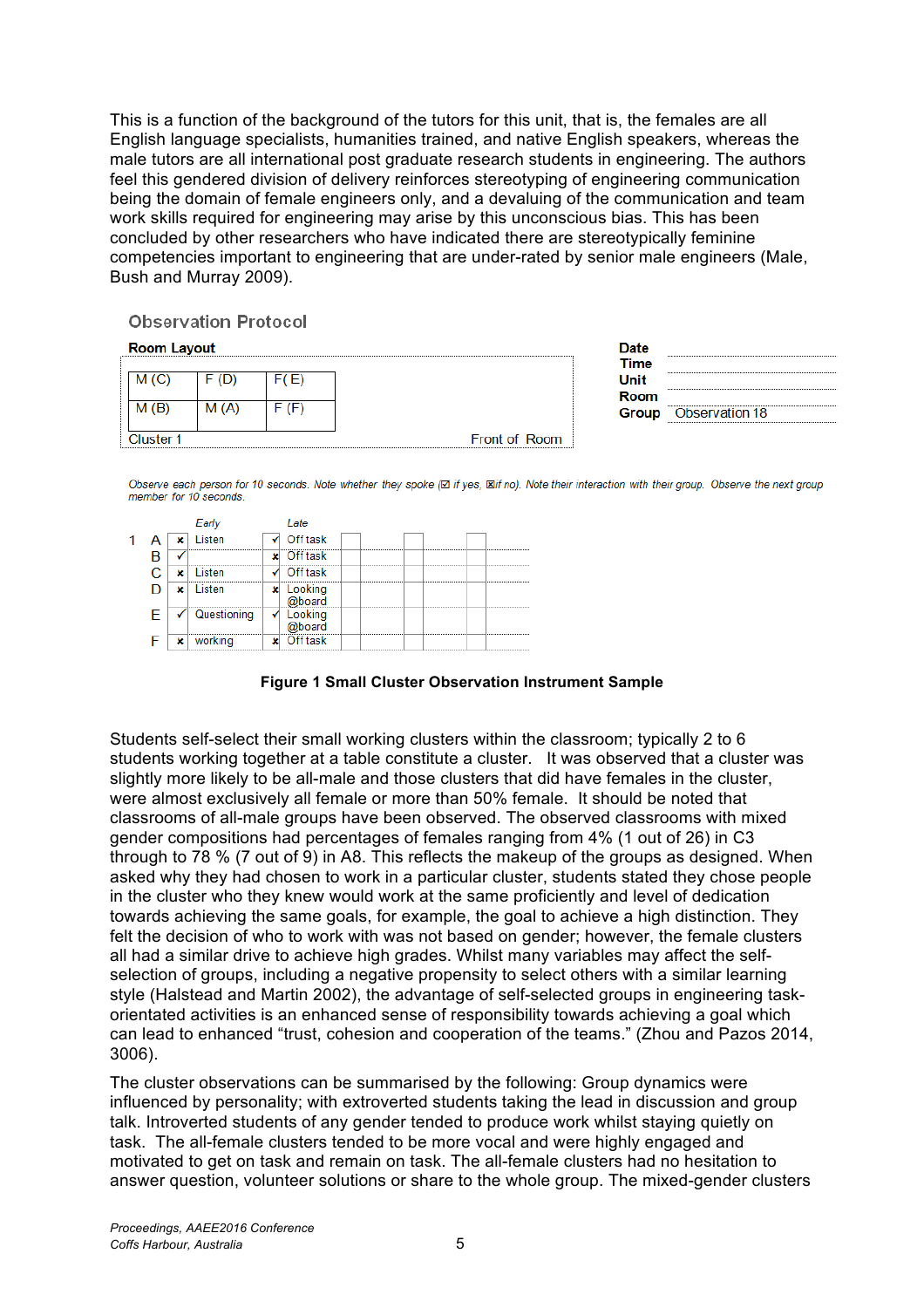This is a function of the background of the tutors for this unit, that is, the females are all English language specialists, humanities trained, and native English speakers, whereas the male tutors are all international post graduate research students in engineering. The authors feel this gendered division of delivery reinforces stereotyping of engineering communication being the domain of female engineers only, and a devaluing of the communication and team work skills required for engineering may arise by this unconscious bias. This has been concluded by other researchers who have indicated there are stereotypically feminine competencies important to engineering that are under-rated by senior male engineers (Male, Bush and Murray 2009).

**Observation Protocol** 

| <b>Room Layout</b> |           |      |          | Date          |                |
|--------------------|-----------|------|----------|---------------|----------------|
|                    |           |      |          | Time          |                |
|                    | M(G)      |      | E)       | <b>Unit</b>   |                |
|                    |           |      |          | <b>Room</b>   |                |
|                    | M(B)      | M(A) | (F)<br>⊢ | Group         | Observation 18 |
|                    |           |      |          |               |                |
|                    | Cluster 1 |      |          | Front of Room |                |

Observe each person for 10 seconds. Note whether they spoke (x if yes, xif no). Note their interaction with their group. Observe the next group member for 10 seconds.

|  |   |             |   | ate                      |
|--|---|-------------|---|--------------------------|
|  |   | isten       |   | Off task                 |
|  |   |             |   | <br><br><br><br>Off task |
|  |   | isten       |   | <br><br><br><br>Off task |
|  |   | isten       |   | <br><br><br><br>_ooking  |
|  |   |             |   | <br><br>                 |
|  |   | Questioning | v | oking                    |
|  |   |             |   | haard                    |
|  | v |             |   | <br><br><br><br>fftask   |

**Figure 1 Small Cluster Observation Instrument Sample**

Students self-select their small working clusters within the classroom; typically 2 to 6 students working together at a table constitute a cluster. It was observed that a cluster was slightly more likely to be all-male and those clusters that did have females in the cluster, were almost exclusively all female or more than 50% female. It should be noted that classrooms of all-male groups have been observed. The observed classrooms with mixed gender compositions had percentages of females ranging from 4% (1 out of 26) in C3 through to 78 % (7 out of 9) in A8. This reflects the makeup of the groups as designed. When asked why they had chosen to work in a particular cluster, students stated they chose people in the cluster who they knew would work at the same proficiently and level of dedication towards achieving the same goals, for example, the goal to achieve a high distinction. They felt the decision of who to work with was not based on gender; however, the female clusters all had a similar drive to achieve high grades. Whilst many variables may affect the selfselection of groups, including a negative propensity to select others with a similar learning style (Halstead and Martin 2002), the advantage of self-selected groups in engineering taskorientated activities is an enhanced sense of responsibility towards achieving a goal which can lead to enhanced "trust, cohesion and cooperation of the teams." (Zhou and Pazos 2014, 3006).

The cluster observations can be summarised by the following: Group dynamics were influenced by personality; with extroverted students taking the lead in discussion and group talk. Introverted students of any gender tended to produce work whilst staying quietly on task. The all-female clusters tended to be more vocal and were highly engaged and motivated to get on task and remain on task. The all-female clusters had no hesitation to answer question, volunteer solutions or share to the whole group. The mixed-gender clusters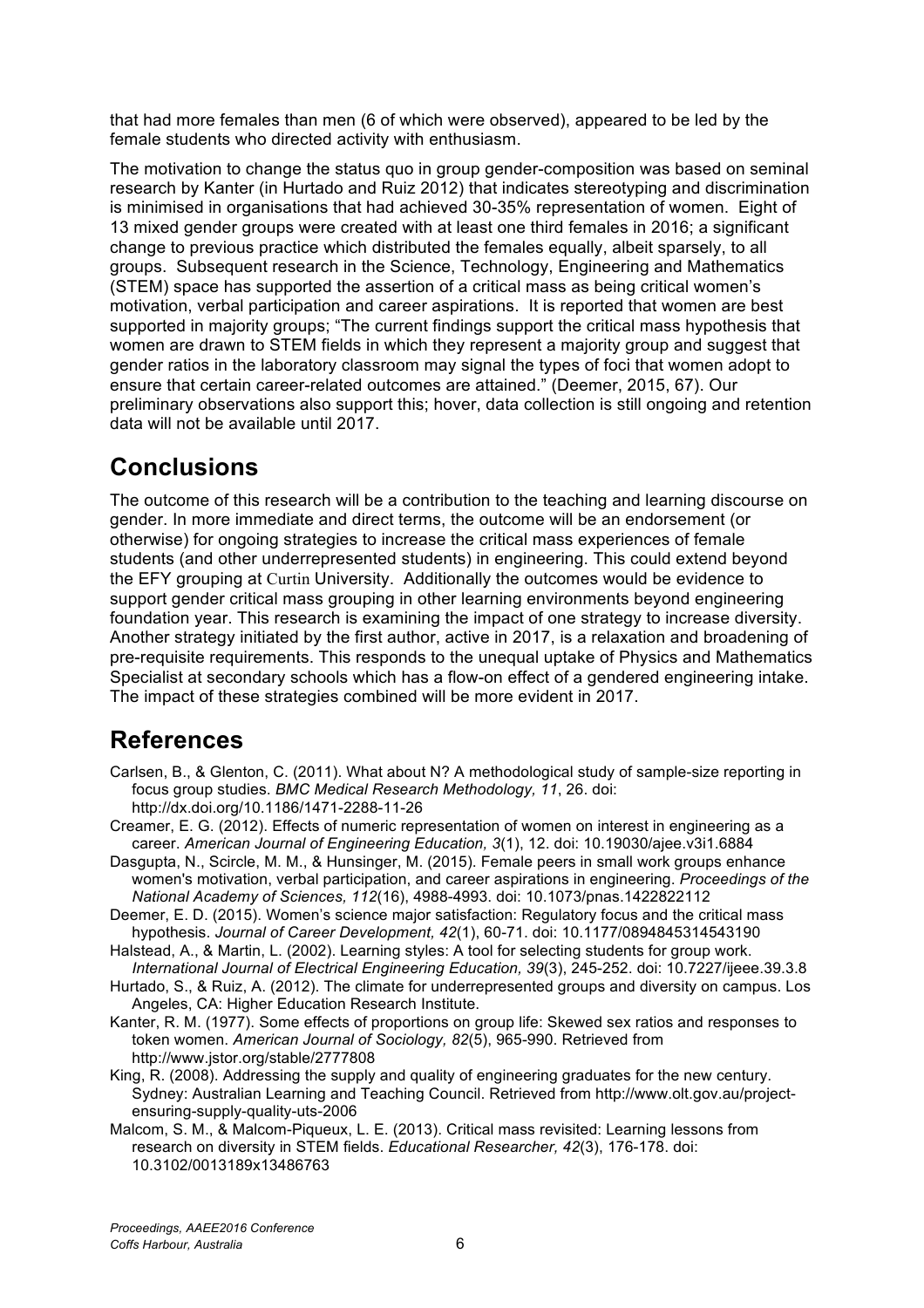that had more females than men (6 of which were observed), appeared to be led by the female students who directed activity with enthusiasm.

The motivation to change the status quo in group gender-composition was based on seminal research by Kanter (in Hurtado and Ruiz 2012) that indicates stereotyping and discrimination is minimised in organisations that had achieved 30-35% representation of women. Eight of 13 mixed gender groups were created with at least one third females in 2016; a significant change to previous practice which distributed the females equally, albeit sparsely, to all groups. Subsequent research in the Science, Technology, Engineering and Mathematics (STEM) space has supported the assertion of a critical mass as being critical women's motivation, verbal participation and career aspirations. It is reported that women are best supported in majority groups; "The current findings support the critical mass hypothesis that women are drawn to STEM fields in which they represent a majority group and suggest that gender ratios in the laboratory classroom may signal the types of foci that women adopt to ensure that certain career-related outcomes are attained." (Deemer, 2015, 67). Our preliminary observations also support this; hover, data collection is still ongoing and retention data will not be available until 2017.

# **Conclusions**

The outcome of this research will be a contribution to the teaching and learning discourse on gender. In more immediate and direct terms, the outcome will be an endorsement (or otherwise) for ongoing strategies to increase the critical mass experiences of female students (and other underrepresented students) in engineering. This could extend beyond the EFY grouping at Curtin University. Additionally the outcomes would be evidence to support gender critical mass grouping in other learning environments beyond engineering foundation year. This research is examining the impact of one strategy to increase diversity. Another strategy initiated by the first author, active in 2017, is a relaxation and broadening of pre-requisite requirements. This responds to the unequal uptake of Physics and Mathematics Specialist at secondary schools which has a flow-on effect of a gendered engineering intake. The impact of these strategies combined will be more evident in 2017.

# **References**

- Carlsen, B., & Glenton, C. (2011). What about N? A methodological study of sample-size reporting in focus group studies. *BMC Medical Research Methodology, 11*, 26. doi: http://dx.doi.org/10.1186/1471-2288-11-26
- Creamer, E. G. (2012). Effects of numeric representation of women on interest in engineering as a career. *American Journal of Engineering Education, 3*(1), 12. doi: 10.19030/ajee.v3i1.6884
- Dasgupta, N., Scircle, M. M., & Hunsinger, M. (2015). Female peers in small work groups enhance women's motivation, verbal participation, and career aspirations in engineering. *Proceedings of the National Academy of Sciences, 112*(16), 4988-4993. doi: 10.1073/pnas.1422822112
- Deemer, E. D. (2015). Women's science major satisfaction: Regulatory focus and the critical mass hypothesis. *Journal of Career Development, 42*(1), 60-71. doi: 10.1177/0894845314543190
- Halstead, A., & Martin, L. (2002). Learning styles: A tool for selecting students for group work. *International Journal of Electrical Engineering Education, 39*(3), 245-252. doi: 10.7227/ijeee.39.3.8
- Hurtado, S., & Ruiz, A. (2012). The climate for underrepresented groups and diversity on campus. Los Angeles, CA: Higher Education Research Institute.
- Kanter, R. M. (1977). Some effects of proportions on group life: Skewed sex ratios and responses to token women. *American Journal of Sociology, 82*(5), 965-990. Retrieved from http://www.jstor.org/stable/2777808
- King, R. (2008). Addressing the supply and quality of engineering graduates for the new century. Sydney: Australian Learning and Teaching Council. Retrieved from http://www.olt.gov.au/projectensuring-supply-quality-uts-2006
- Malcom, S. M., & Malcom-Piqueux, L. E. (2013). Critical mass revisited: Learning lessons from research on diversity in STEM fields. *Educational Researcher, 42*(3), 176-178. doi: 10.3102/0013189x13486763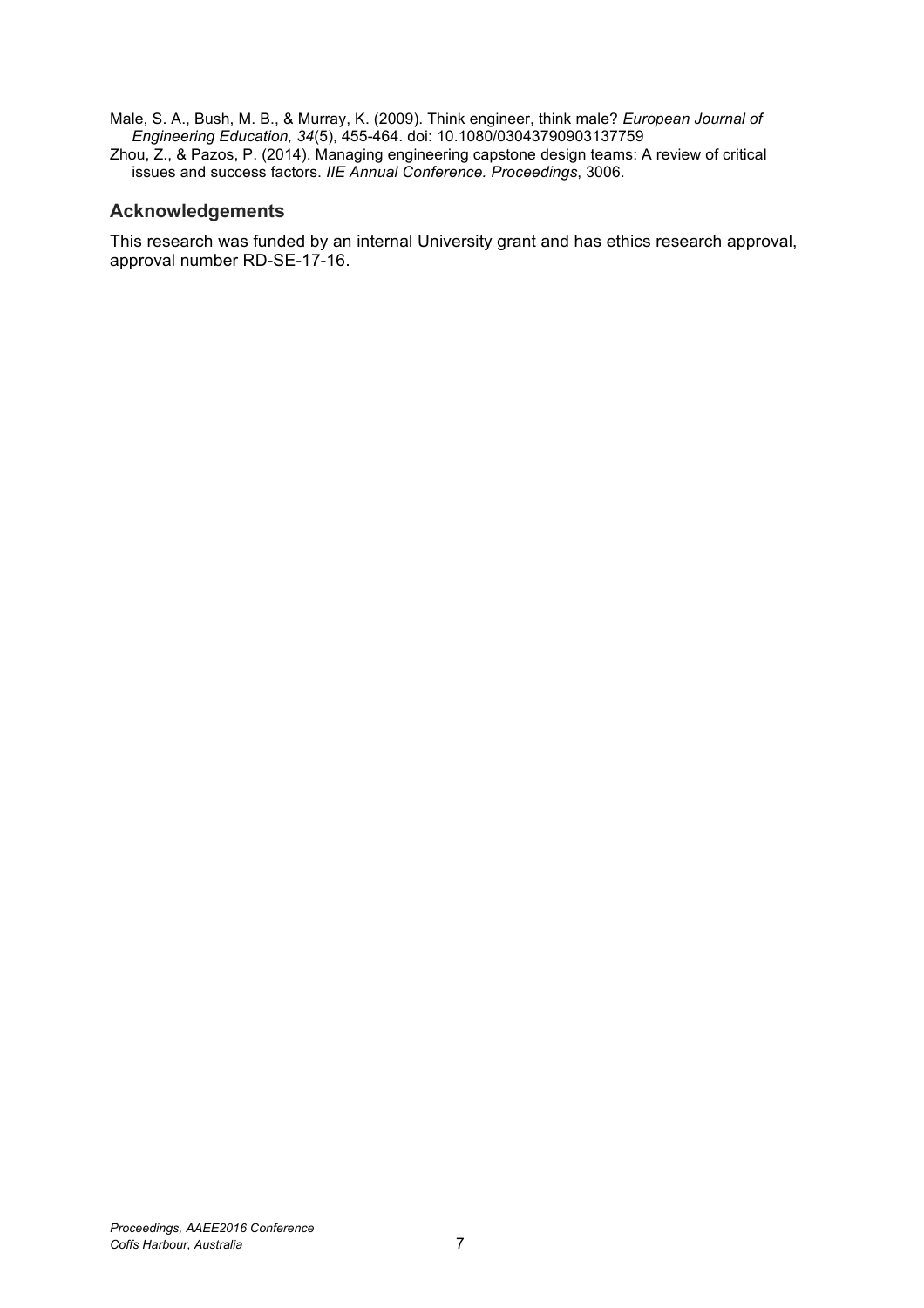- Male, S. A., Bush, M. B., & Murray, K. (2009). Think engineer, think male? *European Journal of Engineering Education, 34*(5), 455-464. doi: 10.1080/03043790903137759
- Zhou, Z., & Pazos, P. (2014). Managing engineering capstone design teams: A review of critical issues and success factors. *IIE Annual Conference. Proceedings*, 3006.

### **Acknowledgements**

This research was funded by an internal University grant and has ethics research approval, approval number RD-SE-17-16.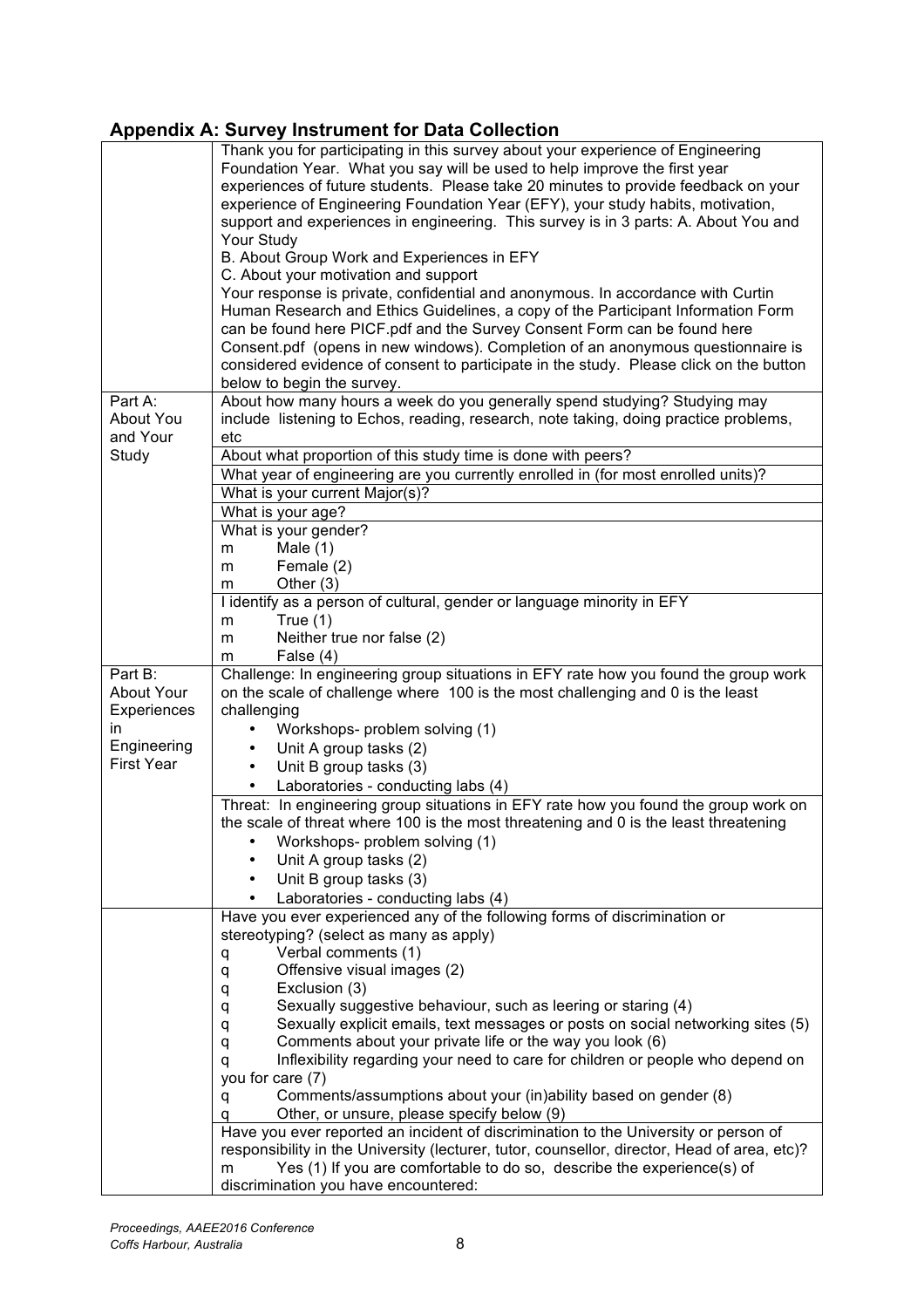### **Appendix A: Survey Instrument for Data Collection**

|                   | Thank you for participating in this survey about your experience of Engineering<br>Foundation Year. What you say will be used to help improve the first year          |  |  |  |  |  |
|-------------------|-----------------------------------------------------------------------------------------------------------------------------------------------------------------------|--|--|--|--|--|
|                   | experiences of future students. Please take 20 minutes to provide feedback on your                                                                                    |  |  |  |  |  |
|                   | experience of Engineering Foundation Year (EFY), your study habits, motivation,                                                                                       |  |  |  |  |  |
|                   | support and experiences in engineering. This survey is in 3 parts: A. About You and                                                                                   |  |  |  |  |  |
|                   | Your Study                                                                                                                                                            |  |  |  |  |  |
|                   | B. About Group Work and Experiences in EFY                                                                                                                            |  |  |  |  |  |
|                   | C. About your motivation and support                                                                                                                                  |  |  |  |  |  |
|                   | Your response is private, confidential and anonymous. In accordance with Curtin                                                                                       |  |  |  |  |  |
|                   | Human Research and Ethics Guidelines, a copy of the Participant Information Form                                                                                      |  |  |  |  |  |
|                   | can be found here PICF.pdf and the Survey Consent Form can be found here                                                                                              |  |  |  |  |  |
|                   | Consent.pdf (opens in new windows). Completion of an anonymous questionnaire is                                                                                       |  |  |  |  |  |
|                   | considered evidence of consent to participate in the study. Please click on the button                                                                                |  |  |  |  |  |
|                   | below to begin the survey.                                                                                                                                            |  |  |  |  |  |
| Part A:           | About how many hours a week do you generally spend studying? Studying may                                                                                             |  |  |  |  |  |
| About You         | include listening to Echos, reading, research, note taking, doing practice problems,                                                                                  |  |  |  |  |  |
| and Your          | etc                                                                                                                                                                   |  |  |  |  |  |
| Study             | About what proportion of this study time is done with peers?                                                                                                          |  |  |  |  |  |
|                   | What year of engineering are you currently enrolled in (for most enrolled units)?                                                                                     |  |  |  |  |  |
|                   | What is your current Major(s)?                                                                                                                                        |  |  |  |  |  |
|                   | What is your age?                                                                                                                                                     |  |  |  |  |  |
|                   | What is your gender?                                                                                                                                                  |  |  |  |  |  |
|                   | Male $(1)$<br>m                                                                                                                                                       |  |  |  |  |  |
|                   | Female (2)<br>m                                                                                                                                                       |  |  |  |  |  |
|                   | Other $(3)$<br>m                                                                                                                                                      |  |  |  |  |  |
|                   | I identify as a person of cultural, gender or language minority in EFY                                                                                                |  |  |  |  |  |
|                   | True $(1)$<br>m                                                                                                                                                       |  |  |  |  |  |
|                   | Neither true nor false (2)<br>m                                                                                                                                       |  |  |  |  |  |
|                   | False (4)<br>m                                                                                                                                                        |  |  |  |  |  |
|                   |                                                                                                                                                                       |  |  |  |  |  |
| Part B:           |                                                                                                                                                                       |  |  |  |  |  |
| <b>About Your</b> | Challenge: In engineering group situations in EFY rate how you found the group work<br>on the scale of challenge where 100 is the most challenging and 0 is the least |  |  |  |  |  |
| Experiences       | challenging                                                                                                                                                           |  |  |  |  |  |
| in                | Workshops- problem solving (1)<br>$\bullet$                                                                                                                           |  |  |  |  |  |
| Engineering       | Unit A group tasks (2)<br>$\bullet$                                                                                                                                   |  |  |  |  |  |
| <b>First Year</b> | Unit B group tasks (3)<br>$\bullet$                                                                                                                                   |  |  |  |  |  |
|                   | Laboratories - conducting labs (4)                                                                                                                                    |  |  |  |  |  |
|                   | Threat: In engineering group situations in EFY rate how you found the group work on                                                                                   |  |  |  |  |  |
|                   | the scale of threat where 100 is the most threatening and 0 is the least threatening                                                                                  |  |  |  |  |  |
|                   |                                                                                                                                                                       |  |  |  |  |  |
|                   | Workshops- problem solving (1)                                                                                                                                        |  |  |  |  |  |
|                   | Unit A group tasks (2)                                                                                                                                                |  |  |  |  |  |
|                   | Unit B group tasks (3)                                                                                                                                                |  |  |  |  |  |
|                   | Laboratories - conducting labs (4)                                                                                                                                    |  |  |  |  |  |
|                   | Have you ever experienced any of the following forms of discrimination or                                                                                             |  |  |  |  |  |
|                   | stereotyping? (select as many as apply)                                                                                                                               |  |  |  |  |  |
|                   | Verbal comments (1)<br>q                                                                                                                                              |  |  |  |  |  |
|                   | Offensive visual images (2)<br>q<br>Exclusion (3)                                                                                                                     |  |  |  |  |  |
|                   | q<br>Sexually suggestive behaviour, such as leering or staring (4)                                                                                                    |  |  |  |  |  |
|                   | q<br>Sexually explicit emails, text messages or posts on social networking sites (5)<br>q                                                                             |  |  |  |  |  |
|                   | Comments about your private life or the way you look (6)<br>q                                                                                                         |  |  |  |  |  |
|                   | Inflexibility regarding your need to care for children or people who depend on<br>q                                                                                   |  |  |  |  |  |
|                   | you for care (7)                                                                                                                                                      |  |  |  |  |  |
|                   | Comments/assumptions about your (in)ability based on gender (8)<br>q                                                                                                  |  |  |  |  |  |
|                   | Other, or unsure, please specify below (9)                                                                                                                            |  |  |  |  |  |
|                   | Have you ever reported an incident of discrimination to the University or person of                                                                                   |  |  |  |  |  |
|                   | responsibility in the University (lecturer, tutor, counsellor, director, Head of area, etc)?                                                                          |  |  |  |  |  |
|                   | Yes (1) If you are comfortable to do so, describe the experience(s) of<br>m<br>discrimination you have encountered:                                                   |  |  |  |  |  |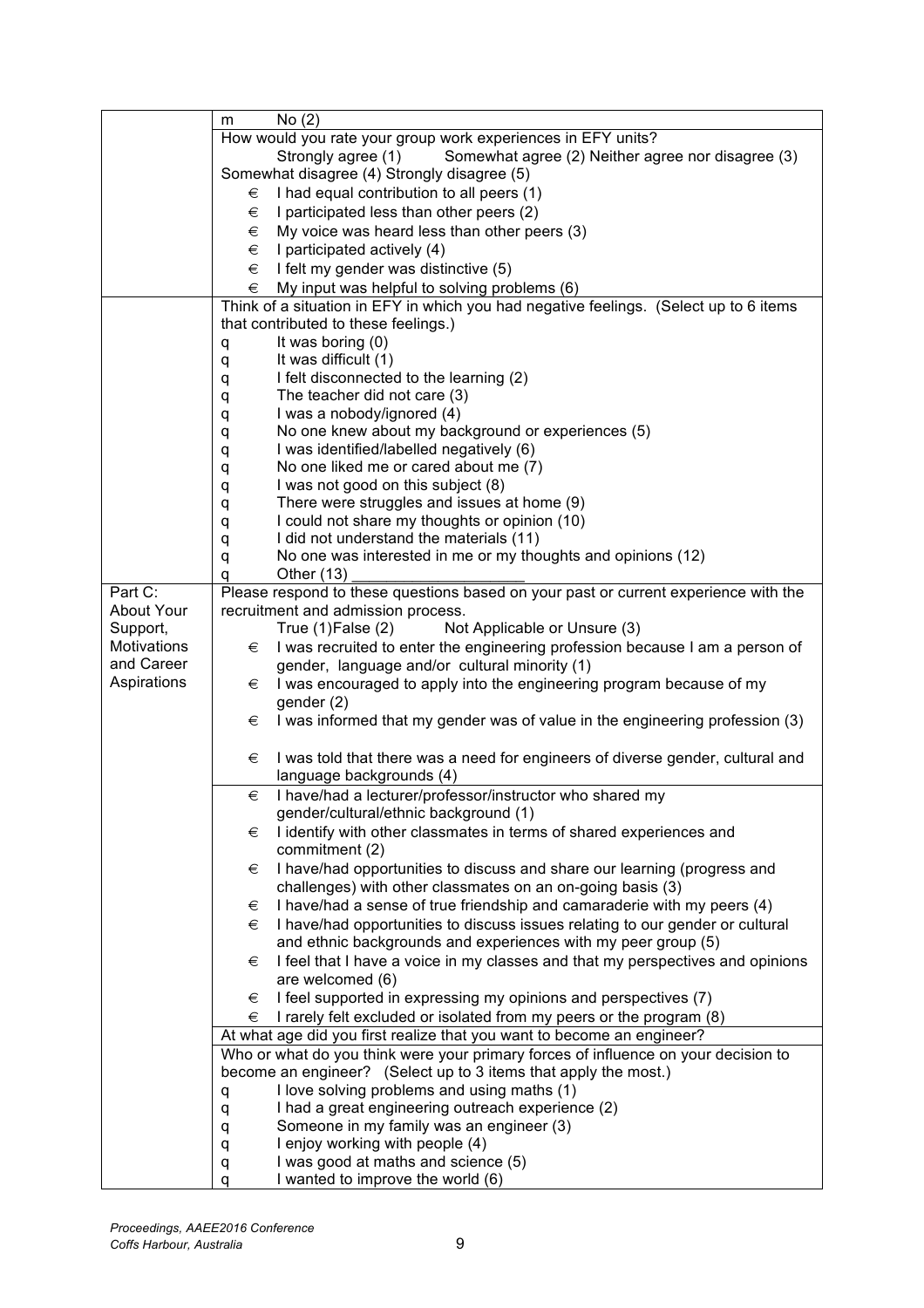|                    | No(2)<br>m                                                                                                   |
|--------------------|--------------------------------------------------------------------------------------------------------------|
|                    | How would you rate your group work experiences in EFY units?                                                 |
|                    | Strongly agree (1)<br>Somewhat agree (2) Neither agree nor disagree (3)                                      |
|                    | Somewhat disagree (4) Strongly disagree (5)                                                                  |
|                    | I had equal contribution to all peers (1)<br>€                                                               |
|                    | I participated less than other peers (2)<br>€                                                                |
|                    | My voice was heard less than other peers (3)<br>€                                                            |
|                    | €<br>I participated actively (4)                                                                             |
|                    | I felt my gender was distinctive (5)<br>€                                                                    |
|                    | €<br>My input was helpful to solving problems (6)                                                            |
|                    | Think of a situation in EFY in which you had negative feelings. (Select up to 6 items                        |
|                    | that contributed to these feelings.)                                                                         |
|                    | It was boring (0)<br>q                                                                                       |
|                    | It was difficult (1)<br>q                                                                                    |
|                    | I felt disconnected to the learning (2)<br>q                                                                 |
|                    | The teacher did not care (3)<br>q                                                                            |
|                    | I was a nobody/ignored (4)<br>q                                                                              |
|                    | No one knew about my background or experiences (5)<br>q                                                      |
|                    | I was identified/labelled negatively (6)<br>q                                                                |
|                    | No one liked me or cared about me (7)<br>q                                                                   |
|                    | I was not good on this subject (8)                                                                           |
|                    | q<br>There were struggles and issues at home (9)                                                             |
|                    | q<br>I could not share my thoughts or opinion (10)                                                           |
|                    | q                                                                                                            |
|                    | I did not understand the materials (11)<br>q<br>No one was interested in me or my thoughts and opinions (12) |
|                    | q                                                                                                            |
| Part C:            | Other $(13)$<br>q                                                                                            |
|                    | Please respond to these questions based on your past or current experience with the                          |
| About Your         | recruitment and admission process.                                                                           |
| Support,           | Not Applicable or Unsure (3)<br>True $(1)$ False $(2)$                                                       |
| <b>Motivations</b> | I was recruited to enter the engineering profession because I am a person of<br>€                            |
| and Career         | gender, language and/or cultural minority (1)                                                                |
| Aspirations        | I was encouraged to apply into the engineering program because of my<br>€                                    |
|                    | gender (2)                                                                                                   |
|                    | I was informed that my gender was of value in the engineering profession (3)<br>€                            |
|                    |                                                                                                              |
|                    | I was told that there was a need for engineers of diverse gender, cultural and<br>€                          |
|                    | language backgrounds (4)                                                                                     |
|                    | I have/had a lecturer/professor/instructor who shared my<br>€                                                |
|                    | gender/cultural/ethnic background (1)                                                                        |
|                    | I identify with other classmates in terms of shared experiences and<br>€                                     |
|                    | commitment (2)                                                                                               |
|                    | I have/had opportunities to discuss and share our learning (progress and<br>€                                |
|                    | challenges) with other classmates on an on-going basis (3)                                                   |
|                    | I have/had a sense of true friendship and camaraderie with my peers (4)<br>€                                 |
|                    | I have/had opportunities to discuss issues relating to our gender or cultural<br>€                           |
|                    | and ethnic backgrounds and experiences with my peer group (5)                                                |
|                    | I feel that I have a voice in my classes and that my perspectives and opinions<br>€                          |
|                    | are welcomed (6)                                                                                             |
|                    | I feel supported in expressing my opinions and perspectives (7)<br>€                                         |
|                    | I rarely felt excluded or isolated from my peers or the program (8)<br>€                                     |
|                    | At what age did you first realize that you want to become an engineer?                                       |
|                    | Who or what do you think were your primary forces of influence on your decision to                           |
|                    | become an engineer? (Select up to 3 items that apply the most.)                                              |
|                    | I love solving problems and using maths (1)                                                                  |
|                    | q                                                                                                            |
|                    | I had a great engineering outreach experience (2)<br>q                                                       |
|                    | Someone in my family was an engineer (3)<br>q                                                                |
|                    | I enjoy working with people (4)<br>q                                                                         |
|                    | I was good at maths and science (5)<br>q                                                                     |
|                    | I wanted to improve the world (6)<br>q                                                                       |